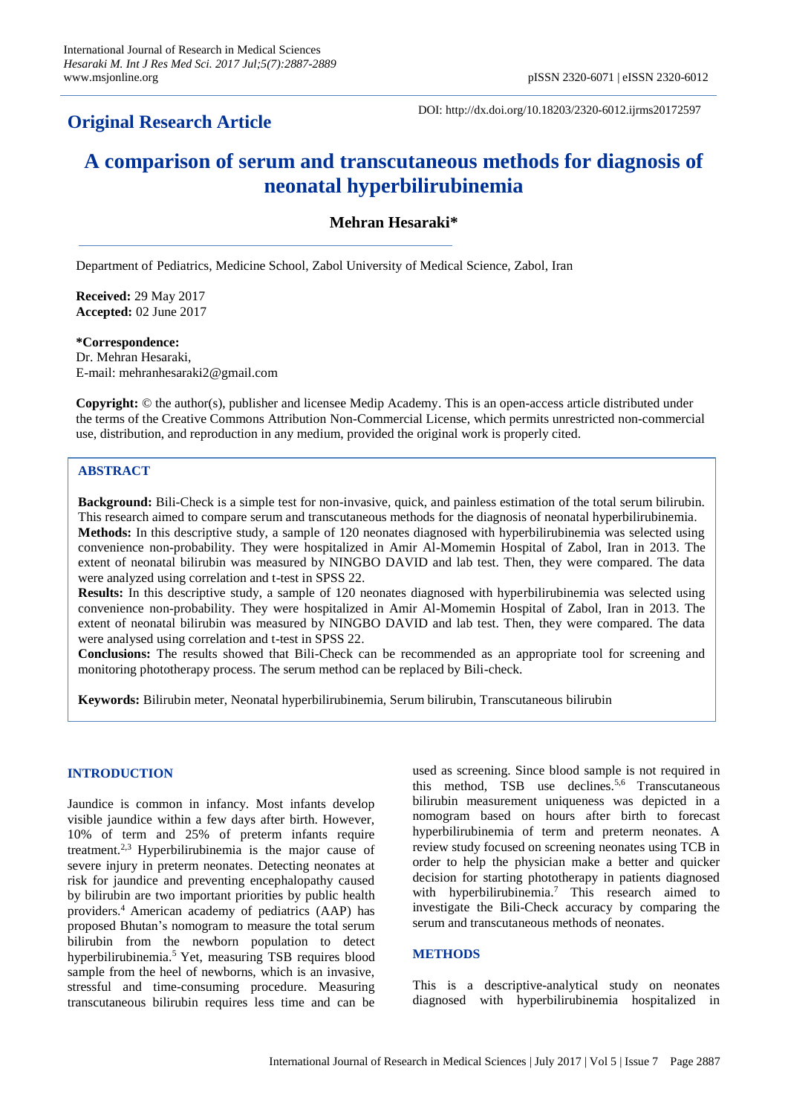# **Original Research Article**

DOI: http://dx.doi.org/10.18203/2320-6012.ijrms20172597

# **A comparison of serum and transcutaneous methods for diagnosis of neonatal hyperbilirubinemia**

# **Mehran Hesaraki\***

Department of Pediatrics, Medicine School, Zabol University of Medical Science, Zabol, Iran

**Received:** 29 May 2017 **Accepted:** 02 June 2017

**\*Correspondence:** Dr. Mehran Hesaraki, E-mail: mehranhesaraki2@gmail.com

**Copyright:** © the author(s), publisher and licensee Medip Academy. This is an open-access article distributed under the terms of the Creative Commons Attribution Non-Commercial License, which permits unrestricted non-commercial use, distribution, and reproduction in any medium, provided the original work is properly cited.

# **ABSTRACT**

**Background:** Bili-Check is a simple test for non-invasive, quick, and painless estimation of the total serum bilirubin. This research aimed to compare serum and transcutaneous methods for the diagnosis of neonatal hyperbilirubinemia. **Methods:** In this descriptive study, a sample of 120 neonates diagnosed with hyperbilirubinemia was selected using convenience non-probability. They were hospitalized in Amir Al-Momemin Hospital of Zabol, Iran in 2013. The extent of neonatal bilirubin was measured by NINGBO DAVID and lab test. Then, they were compared. The data were analyzed using correlation and t-test in SPSS 22.

**Results:** In this descriptive study, a sample of 120 neonates diagnosed with hyperbilirubinemia was selected using convenience non-probability. They were hospitalized in Amir Al-Momemin Hospital of Zabol, Iran in 2013. The extent of neonatal bilirubin was measured by NINGBO DAVID and lab test. Then, they were compared. The data were analysed using correlation and t-test in SPSS 22.

**Conclusions:** The results showed that Bili-Check can be recommended as an appropriate tool for screening and monitoring phototherapy process. The serum method can be replaced by Bili-check.

**Keywords:** Bilirubin meter, Neonatal hyperbilirubinemia, Serum bilirubin, Transcutaneous bilirubin

# **INTRODUCTION**

Jaundice is common in infancy. Most infants develop visible jaundice within a few days after birth. However, 10% of term and 25% of preterm infants require treatment.2,3 Hyperbilirubinemia is the major cause of severe injury in preterm neonates. Detecting neonates at risk for jaundice and preventing encephalopathy caused by bilirubin are two important priorities by public health providers.<sup>4</sup>American academy of pediatrics (AAP) has proposed Bhutan's nomogram to measure the total serum bilirubin from the newborn population to detect hyperbilirubinemia.<sup>5</sup> Yet, measuring TSB requires blood sample from the heel of newborns, which is an invasive, stressful and time-consuming procedure. Measuring transcutaneous bilirubin requires less time and can be used as screening. Since blood sample is not required in this method, TSB use declines.<sup>5,6</sup> Transcutaneous bilirubin measurement uniqueness was depicted in a nomogram based on hours after birth to forecast hyperbilirubinemia of term and preterm neonates. A review study focused on screening neonates using TCB in order to help the physician make a better and quicker decision for starting phototherapy in patients diagnosed with hyperbilirubinemia.<sup>7</sup> This research aimed to investigate the Bili-Check accuracy by comparing the serum and transcutaneous methods of neonates.

#### **METHODS**

This is a descriptive-analytical study on neonates diagnosed with hyperbilirubinemia hospitalized in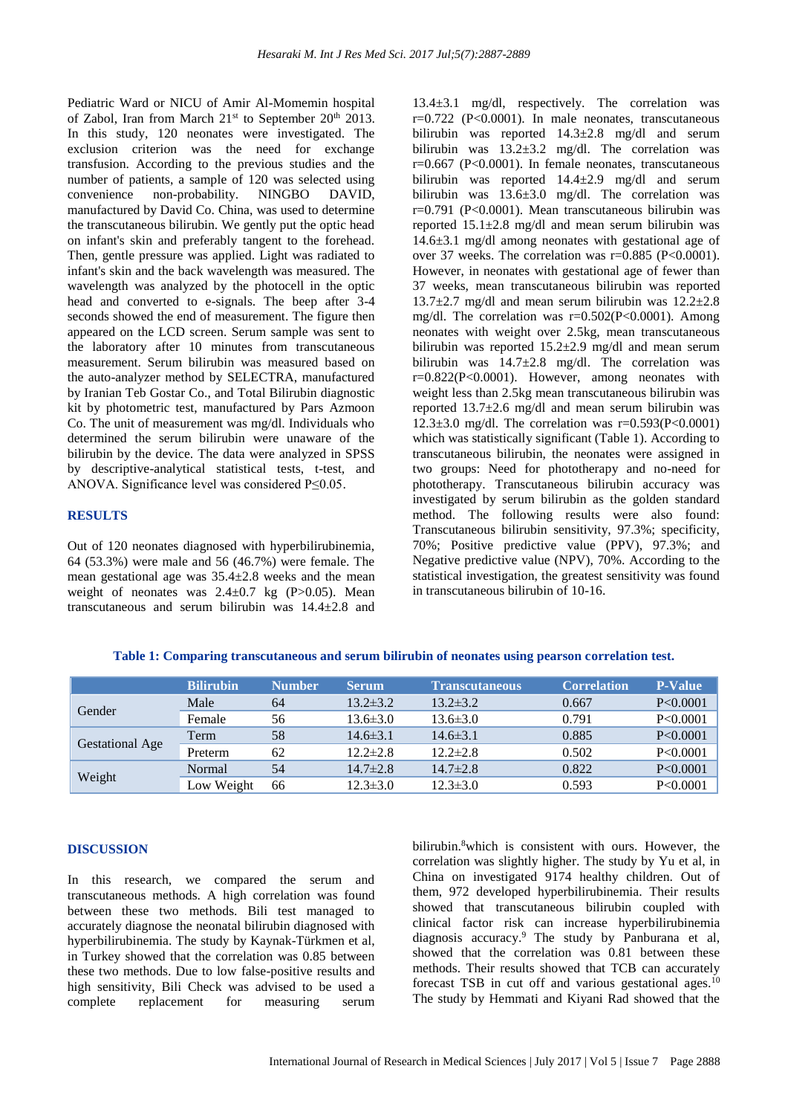Pediatric Ward or NICU of Amir Al-Momemin hospital of Zabol, Iran from March 21<sup>st</sup> to September 20<sup>th</sup> 2013. In this study, 120 neonates were investigated. The exclusion criterion was the need for exchange transfusion. According to the previous studies and the number of patients, a sample of 120 was selected using convenience non-probability. NINGBO DAVID, manufactured by David Co. China, was used to determine the transcutaneous bilirubin. We gently put the optic head on infant's skin and preferably tangent to the forehead. Then, gentle pressure was applied. Light was radiated to infant's skin and the back wavelength was measured. The wavelength was analyzed by the photocell in the optic head and converted to e-signals. The beep after 3-4 seconds showed the end of measurement. The figure then appeared on the LCD screen. Serum sample was sent to the laboratory after 10 minutes from transcutaneous measurement. Serum bilirubin was measured based on the auto-analyzer method by SELECTRA, manufactured by Iranian Teb Gostar Co., and Total Bilirubin diagnostic kit by photometric test, manufactured by Pars Azmoon Co. The unit of measurement was mg/dl. Individuals who determined the serum bilirubin were unaware of the bilirubin by the device. The data were analyzed in SPSS by descriptive-analytical statistical tests, t-test, and ANOVA. Significance level was considered P≤0.05.

# **RESULTS**

Out of 120 neonates diagnosed with hyperbilirubinemia, 64 (53.3%) were male and 56 (46.7%) were female. The mean gestational age was  $35.4 \pm 2.8$  weeks and the mean weight of neonates was  $2.4 \pm 0.7$  kg (P $> 0.05$ ). Mean transcutaneous and serum bilirubin was 14.4±2.8 and

13.4±3.1 mg/dl, respectively. The correlation was  $r=0.722$  (P<0.0001). In male neonates, transcutaneous bilirubin was reported 14.3±2.8 mg/dl and serum bilirubin was 13.2±3.2 mg/dl. The correlation was r=0.667 (P<0.0001). In female neonates, transcutaneous bilirubin was reported 14.4±2.9 mg/dl and serum bilirubin was 13.6±3.0 mg/dl. The correlation was r=0.791 (P<0.0001). Mean transcutaneous bilirubin was reported 15.1±2.8 mg/dl and mean serum bilirubin was 14.6±3.1 mg/dl among neonates with gestational age of over 37 weeks. The correlation was r=0.885 (P<0.0001). However, in neonates with gestational age of fewer than 37 weeks, mean transcutaneous bilirubin was reported  $13.7\pm2.7$  mg/dl and mean serum bilirubin was  $12.2\pm2.8$ mg/dl. The correlation was  $r=0.502(P<0.0001)$ . Among neonates with weight over 2.5kg, mean transcutaneous bilirubin was reported 15.2±2.9 mg/dl and mean serum bilirubin was  $14.7 \pm 2.8$  mg/dl. The correlation was r=0.822(P<0.0001). However, among neonates with weight less than 2.5kg mean transcutaneous bilirubin was reported 13.7±2.6 mg/dl and mean serum bilirubin was 12.3 $\pm$ 3.0 mg/dl. The correlation was r=0.593(P<0.0001) which was statistically significant (Table 1). According to transcutaneous bilirubin, the neonates were assigned in two groups: Need for phototherapy and no-need for phototherapy. Transcutaneous bilirubin accuracy was investigated by serum bilirubin as the golden standard method. The following results were also found: Transcutaneous bilirubin sensitivity, 97.3%; specificity, 70%; Positive predictive value (PPV), 97.3%; and Negative predictive value (NPV), 70%. According to the statistical investigation, the greatest sensitivity was found in transcutaneous bilirubin of 10-16.

|  |  | Table 1: Comparing transcutaneous and serum bilirubin of neonates using pearson correlation test. |  |  |  |  |
|--|--|---------------------------------------------------------------------------------------------------|--|--|--|--|
|--|--|---------------------------------------------------------------------------------------------------|--|--|--|--|

|                        | <b>Bilirubin</b> | <b>Number</b> | <b>Serum</b>   | <b>Transcutaneous</b> | <b>Correlation</b> | <b>P-Value</b> |
|------------------------|------------------|---------------|----------------|-----------------------|--------------------|----------------|
|                        | Male             | 64            | $13.2 \pm 3.2$ | $13.2 \pm 3.2$        | 0.667              | P<0.0001       |
| Gender                 | Female           | 56            | $13.6 \pm 3.0$ | $13.6 \pm 3.0$        | 0.791              | P<0.0001       |
|                        | Term             | 58            | $14.6 \pm 3.1$ | $14.6 \pm 3.1$        | 0.885              | P<0.0001       |
| <b>Gestational Age</b> | Preterm          | 62            | $12.2 \pm 2.8$ | $12.2 \pm 2.8$        | 0.502              | P<0.0001       |
|                        | Normal           | 54            | $14.7 \pm 2.8$ | $14.7 \pm 2.8$        | 0.822              | P<0.0001       |
| Weight                 | Low Weight       | 66            | $12.3 \pm 3.0$ | $12.3 \pm 3.0$        | 0.593              | P<0.0001       |

#### **DISCUSSION**

In this research, we compared the serum and transcutaneous methods. A high correlation was found between these two methods. Bili test managed to accurately diagnose the neonatal bilirubin diagnosed with hyperbilirubinemia. The study by Kaynak-Türkmen et al, in Turkey showed that the correlation was 0.85 between these two methods. Due to low false-positive results and high sensitivity, Bili Check was advised to be used a complete replacement for measuring serum

bilirubin. <sup>8</sup>which is consistent with ours. However, the correlation was slightly higher. The study by Yu et al, in China on investigated 9174 healthy children. Out of them, 972 developed hyperbilirubinemia. Their results showed that transcutaneous bilirubin coupled with clinical factor risk can increase hyperbilirubinemia diagnosis accuracy.<sup>9</sup> The study by Panburana et al, showed that the correlation was 0.81 between these methods. Their results showed that TCB can accurately forecast TSB in cut off and various gestational ages.<sup>10</sup> The study by Hemmati and Kiyani Rad showed that the